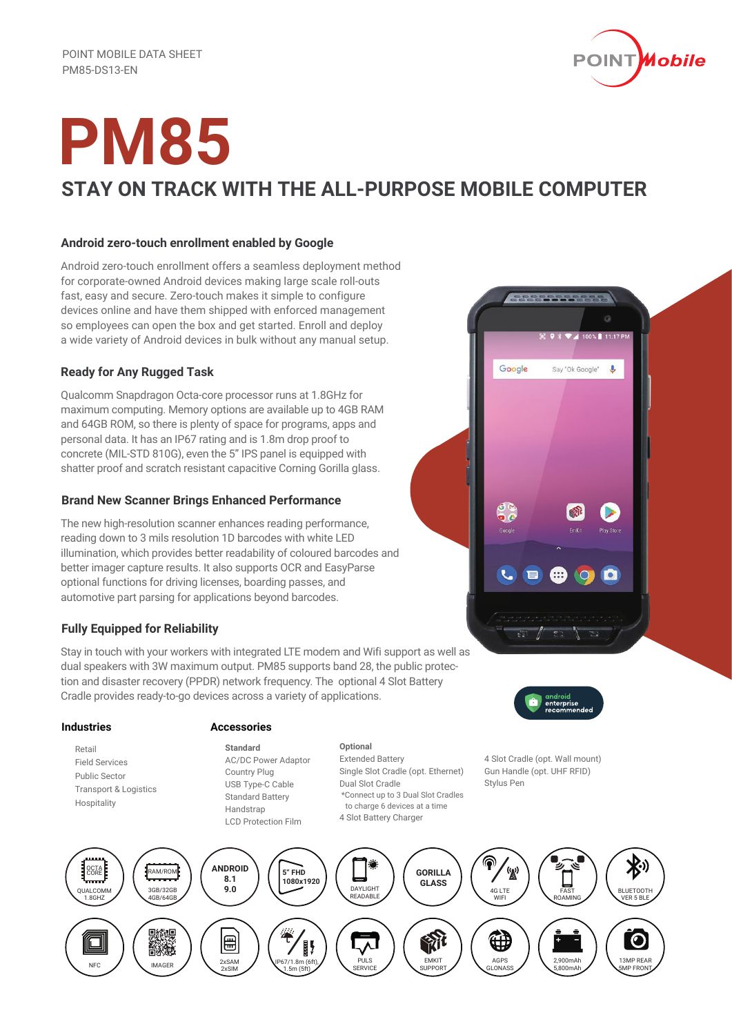

# **PM85 STAY ON TRACK WITH THE ALL-PURPOSE MOBILE COMPUTER**

## **Android zero-touch enrollment enabled by Google**

Android zero-touch enrollment offers a seamless deployment method for corporate-owned Android devices making large scale roll-outs fast, easy and secure. Zero-touch makes it simple to configure devices online and have them shipped with enforced management so employees can open the box and get started. Enroll and deploy a wide variety of Android devices in bulk without any manual setup.

# **Ready for Any Rugged Task**

Qualcomm Snapdragon Octa-core processor runs at 1.8GHz for maximum computing. Memory options are available up to 4GB RAM and 64GB ROM, so there is plenty of space for programs, apps and personal data. It has an IP67 rating and is 1.8m drop proof to concrete (MIL-STD 810G), even the 5" IPS panel is equipped with shatter proof and scratch resistant capacitive Corning Gorilla glass.

### **Brand New Scanner Brings Enhanced Performance**

The new high-resolution scanner enhances reading performance, reading down to 3 mils resolution 1D barcodes with white LED illumination, which provides better readability of coloured barcodes and better imager capture results. It also supports OCR and EasyParse optional functions for driving licenses, boarding passes, and automotive part parsing for applications beyond barcodes.

# **Fully Equipped for Reliability**

Stay in touch with your workers with integrated LTE modem and Wifi support as well as dual speakers with 3W maximum output. PM85 supports band 28, the public protection and disaster recovery (PPDR) network frequency. The optional 4 Slot Battery Cradle provides ready-to-go devices across a variety of applications.

### **Industries**

 Retail Field Services Public Sector Transport & Logistics Hospitality

### **Accessories**

**Standard** AC/DC Power Adaptor Country Plug USB Type-C Cable Standard Battery **Handstran** LCD Protection Film

Extended Battery Single Slot Cradle (opt. Ethernet) Dual Slot Cradle \*Connect up to 3 Dual Slot Cradles to charge 6 devices at a time 4 Slot Battery Charger



Œ

<u>COOPPODERS</u>

Say "Ok Google"

Google

a 100% 11117

 $\ddot{\bullet}$ 

**De** 

 $\bullet$ 

4 Slot Cradle (opt. Wall mount) Gun Handle (opt. UHF RFID) Stylus Pen



**Optional**